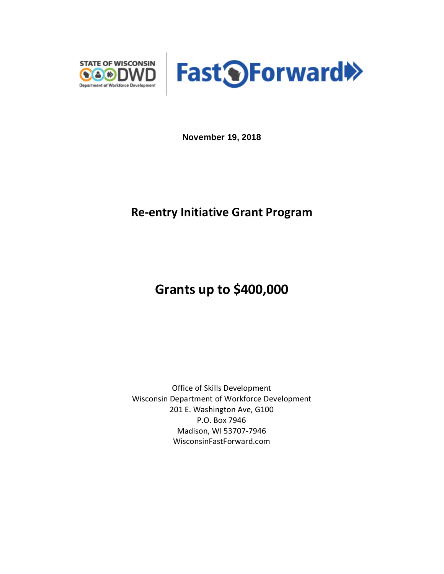



**November 19, 2018**

## **Re-entry Initiative Grant Program**

# **Grants up to \$400,000**

Office of Skills Development Wisconsin Department of Workforce Development 201 E. Washington Ave, G100 P.O. Box 7946 Madison, WI 53707-7946 WisconsinFastForward.com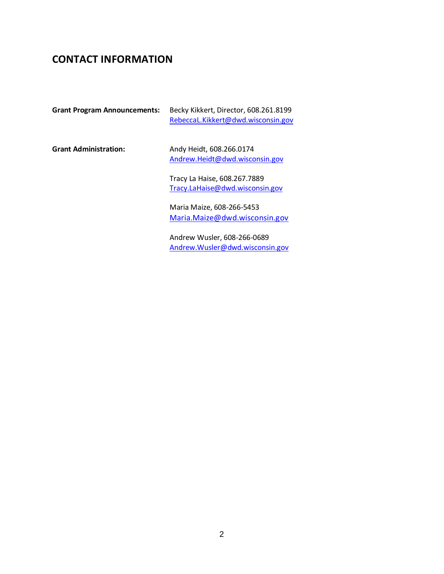### **CONTACT INFORMATION**

| <b>Grant Program Announcements:</b> | Becky Kikkert, Director, 608.261.8199<br>RebeccaL.Kikkert@dwd.wisconsin.gov |
|-------------------------------------|-----------------------------------------------------------------------------|
| <b>Grant Administration:</b>        | Andy Heidt, 608.266.0174<br>Andrew.Heidt@dwd.wisconsin.gov                  |
|                                     | Tracy La Haise, 608.267.7889<br>Tracy.LaHaise@dwd.wisconsin.gov             |
|                                     | Maria Maize, 608-266-5453<br>Maria.Maize@dwd.wisconsin.gov                  |

Andrew Wusler, 608-266-0689 [Andrew.Wusler@dwd.wisconsin.gov](mailto:Andrew.Wusler@dwd.wisconsin.gov)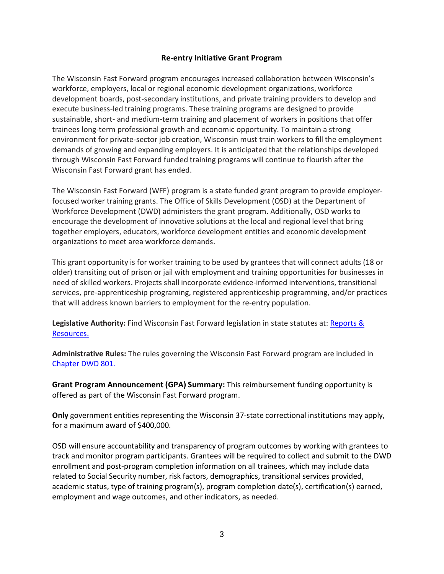#### **Re-entry Initiative Grant Program**

The Wisconsin Fast Forward program encourages increased collaboration between Wisconsin's workforce, employers, local or regional economic development organizations, workforce development boards, post-secondary institutions, and private training providers to develop and execute business-led training programs. These training programs are designed to provide sustainable, short- and medium-term training and placement of workers in positions that offer trainees long-term professional growth and economic opportunity. To maintain a strong environment for private-sector job creation, Wisconsin must train workers to fill the employment demands of growing and expanding employers. It is anticipated that the relationships developed through Wisconsin Fast Forward funded training programs will continue to flourish after the Wisconsin Fast Forward grant has ended.

The Wisconsin Fast Forward (WFF) program is a state funded grant program to provide employerfocused worker training grants. The Office of Skills Development (OSD) at the Department of Workforce Development (DWD) administers the grant program. Additionally, OSD works to encourage the development of innovative solutions at the local and regional level that bring together employers, educators, workforce development entities and economic development organizations to meet area workforce demands.

This grant opportunity is for worker training to be used by grantees that will connect adults (18 or older) transiting out of prison or jail with employment and training opportunities for businesses in need of skilled workers. Projects shall incorporate evidence-informed interventions, transitional services, pre-apprenticeship programing, registered apprenticeship programming, and/or practices that will address known barriers to employment for the re-entry population.

**Legislative Authority:** Find Wisconsin Fast Forward legislation in state statutes at: [Reports &](https://docs.legis.wisconsin.gov/2013/related/acts/9)  [Resources.](https://docs.legis.wisconsin.gov/2013/related/acts/9)

**Administrative Rules:** The rules governing the Wisconsin Fast Forward program are included in [Chapter DWD 801.](http://docs.legis.wisconsin.gov/code/admin_code/dwd/801/801)

**Grant Program Announcement (GPA) Summary:** This reimbursement funding opportunity is offered as part of the Wisconsin Fast Forward program.

**Only** government entities representing the Wisconsin 37-state correctional institutions may apply, for a maximum award of \$400,000.

OSD will ensure accountability and transparency of program outcomes by working with grantees to track and monitor program participants. Grantees will be required to collect and submit to the DWD enrollment and post-program completion information on all trainees, which may include data related to Social Security number, risk factors, demographics, transitional services provided, academic status, type of training program(s), program completion date(s), certification(s) earned, employment and wage outcomes, and other indicators, as needed.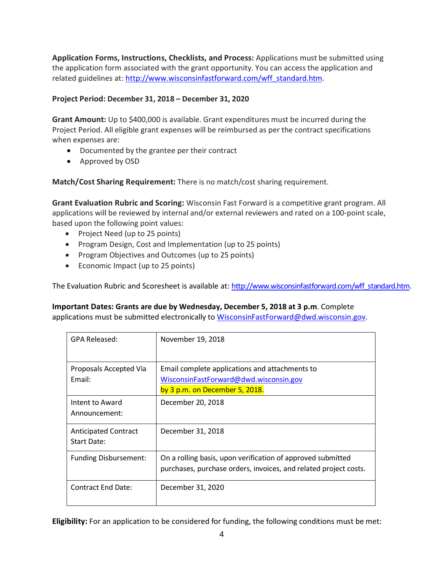**Application Forms, Instructions, Checklists, and Process:** Applications must be submitted using the application form associated with the grant opportunity. You can access the application and related guidelines at: [http://www.wisconsinfastforward.com/wff\\_standard.htm.](http://www.wisconsinfastforward.com/wff_standard.htm)

#### **Project Period: December 31, 2018 – December 31, 2020**

**Grant Amount:** Up to \$400,000 is available. Grant expenditures must be incurred during the Project Period. All eligible grant expenses will be reimbursed as per the contract specifications when expenses are:

- Documented by the grantee per their contract
- Approved by OSD

**Match/Cost Sharing Requirement:** There is no match/cost sharing requirement.

**Grant Evaluation Rubric and Scoring:** Wisconsin Fast Forward is a competitive grant program. All applications will be reviewed by internal and/or external reviewers and rated on a 100-point scale, based upon the following point values:

- Project Need (up to 25 points)
- Program Design, Cost and Implementation (up to 25 points)
- Program Objectives and Outcomes (up to 25 points)
- Economic Impact (up to 25 points)

The Evaluation Rubric and Scoresheet is available at: [http://www.wisconsinfastforward.com/wff\\_standard.htm.](http://www.wisconsinfastforward.com/wff_standard.htm)

#### **Important Dates: Grants are due by Wednesday, December 5, 2018 at 3 p.m**. Complete

applications must be submitted electronically to [WisconsinFastForward@dwd.wisconsin.gov.](mailto:WisconsinFastForward@dwd.wisconsin.gov)

| GPA Released:                              | November 19, 2018                                                                                                               |
|--------------------------------------------|---------------------------------------------------------------------------------------------------------------------------------|
| Proposals Accepted Via<br>Email:           | Email complete applications and attachments to<br>WisconsinFastForward@dwd.wisconsin.gov<br>by 3 p.m. on December 5, 2018.      |
| Intent to Award<br>Announcement:           | December 20, 2018                                                                                                               |
| <b>Anticipated Contract</b><br>Start Date: | December 31, 2018                                                                                                               |
| <b>Funding Disbursement:</b>               | On a rolling basis, upon verification of approved submitted<br>purchases, purchase orders, invoices, and related project costs. |
| Contract End Date:                         | December 31, 2020                                                                                                               |

**Eligibility:** For an application to be considered for funding, the following conditions must be met: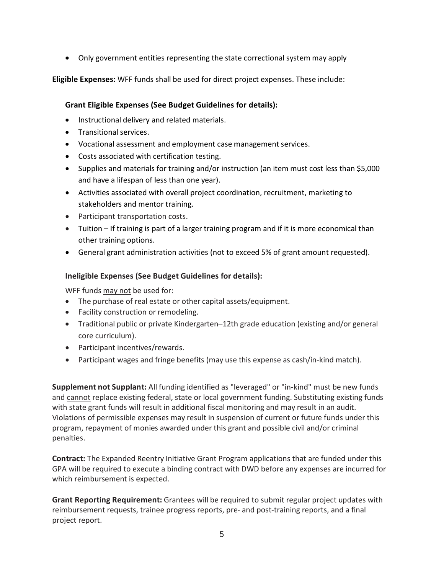• Only government entities representing the state correctional system may apply

**Eligible Expenses:** WFF funds shall be used for direct project expenses. These include:

#### **Grant Eligible Expenses (See Budget Guidelines for details):**

- Instructional delivery and related materials.
- Transitional services.
- Vocational assessment and employment case management services.
- Costs associated with certification testing.
- Supplies and materials for training and/or instruction (an item must cost less than \$5,000 and have a lifespan of less than one year).
- Activities associated with overall project coordination, recruitment, marketing to stakeholders and mentor training.
- Participant transportation costs.
- Tuition If training is part of a larger training program and if it is more economical than other training options.
- General grant administration activities (not to exceed 5% of grant amount requested).

#### **Ineligible Expenses (See Budget Guidelines for details):**

WFF funds may not be used for:

- The purchase of real estate or other capital assets/equipment.
- Facility construction or remodeling.
- Traditional public or private Kindergarten–12th grade education (existing and/or general core curriculum).
- Participant incentives/rewards.
- Participant wages and fringe benefits (may use this expense as cash/in-kind match).

**Supplement not Supplant:** All funding identified as "leveraged" or "in-kind" must be new funds and cannot replace existing federal, state or local government funding. Substituting existing funds with state grant funds will result in additional fiscal monitoring and may result in an audit. Violations of permissible expenses may result in suspension of current or future funds under this program, repayment of monies awarded under this grant and possible civil and/or criminal penalties.

**Contract:** The Expanded Reentry Initiative Grant Program applications that are funded under this GPA will be required to execute a binding contract with DWD before any expenses are incurred for which reimbursement is expected.

**Grant Reporting Requirement:** Grantees will be required to submit regular project updates with reimbursement requests, trainee progress reports, pre- and post-training reports, and a final project report.